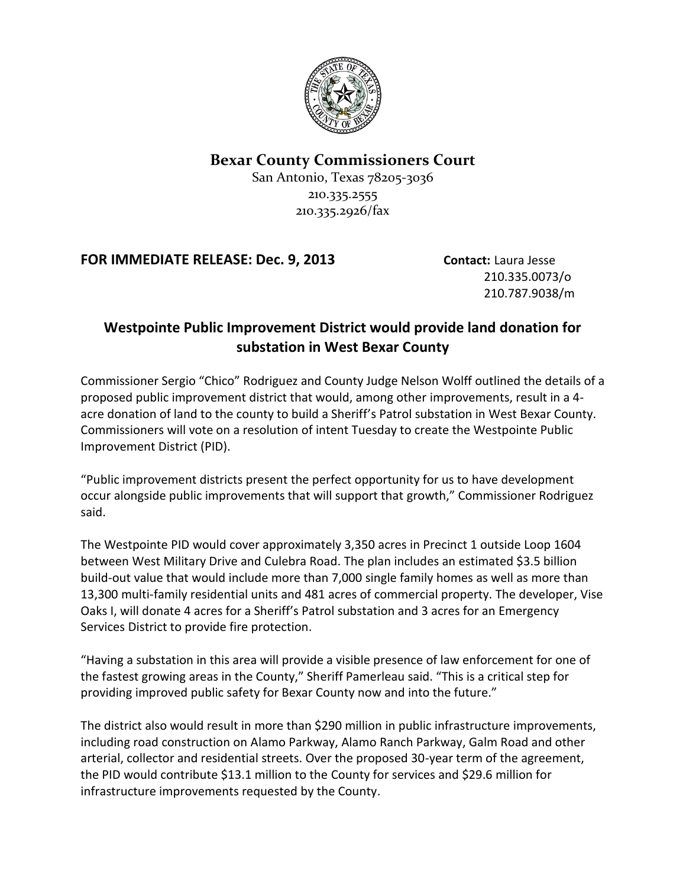

## **Bexar County Commissioners Court**

San Antonio, Texas 78205-3036 210.335.2555 210.335.2926/fax

## **FOR IMMEDIATE RELEASE: Dec. 9, 2013 Contact:** Laura Jesse

210.335.0073/o 210.787.9038/m

## **Westpointe Public Improvement District would provide land donation for substation in West Bexar County**

Commissioner Sergio "Chico" Rodriguez and County Judge Nelson Wolff outlined the details of a proposed public improvement district that would, among other improvements, result in a 4 acre donation of land to the county to build a Sheriff's Patrol substation in West Bexar County. Commissioners will vote on a resolution of intent Tuesday to create the Westpointe Public Improvement District (PID).

"Public improvement districts present the perfect opportunity for us to have development occur alongside public improvements that will support that growth," Commissioner Rodriguez said.

The Westpointe PID would cover approximately 3,350 acres in Precinct 1 outside Loop 1604 between West Military Drive and Culebra Road. The plan includes an estimated \$3.5 billion build-out value that would include more than 7,000 single family homes as well as more than 13,300 multi-family residential units and 481 acres of commercial property. The developer, Vise Oaks I, will donate 4 acres for a Sheriff's Patrol substation and 3 acres for an Emergency Services District to provide fire protection.

"Having a substation in this area will provide a visible presence of law enforcement for one of the fastest growing areas in the County," Sheriff Pamerleau said. "This is a critical step for providing improved public safety for Bexar County now and into the future."

The district also would result in more than \$290 million in public infrastructure improvements, including road construction on Alamo Parkway, Alamo Ranch Parkway, Galm Road and other arterial, collector and residential streets. Over the proposed 30-year term of the agreement, the PID would contribute \$13.1 million to the County for services and \$29.6 million for infrastructure improvements requested by the County.